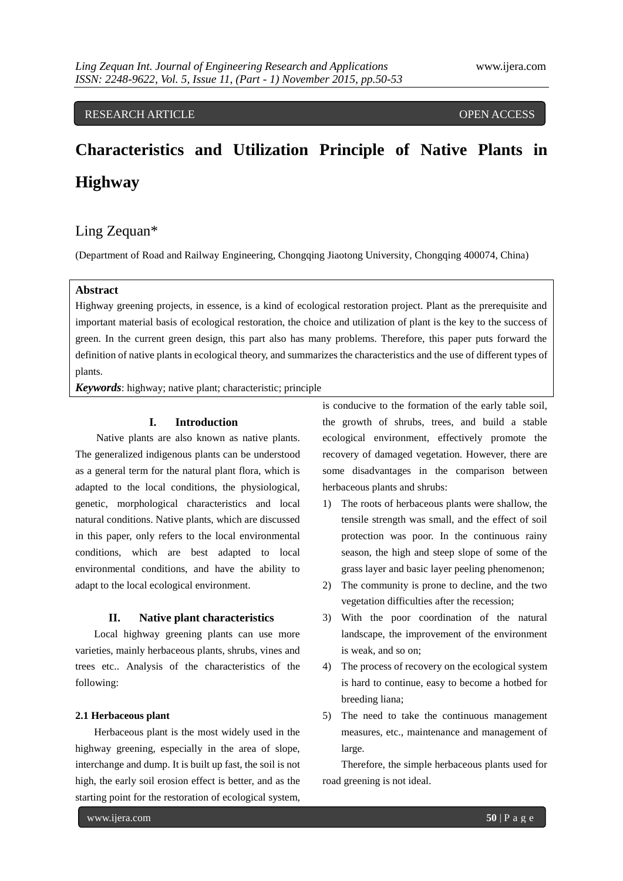# RESEARCH ARTICLE **CONSERVERS** OPEN ACCESS

# **Characteristics and Utilization Principle of Native Plants in Highway**

# Ling Zequan\*

(Department of Road and Railway Engineering, Chongqing Jiaotong University, Chongqing 400074, China)

# **Abstract**

Highway greening projects, in essence, is a kind of ecological restoration project. Plant as the prerequisite and important material basis of ecological restoration, the choice and utilization of plant is the key to the success of green. In the current green design, this part also has many problems. Therefore, this paper puts forward the definition of native plants in ecological theory, and summarizes the characteristics and the use of different types of plants.

*Keywords*: highway; native plant; characteristic; principle

# **I. Introduction**

Native plants are also known as native plants. The generalized indigenous plants can be understood as a general term for the natural plant flora, which is adapted to the local conditions, the physiological, genetic, morphological characteristics and local natural conditions. Native plants, which are discussed in this paper, only refers to the local environmental conditions, which are best adapted to local environmental conditions, and have the ability to adapt to the local ecological environment.

# **II. Native plant characteristics**

Local highway greening plants can use more varieties, mainly herbaceous plants, shrubs, vines and trees etc.. Analysis of the characteristics of the following:

# **2.1 Herbaceous plant**

Herbaceous plant is the most widely used in the highway greening, especially in the area of slope, interchange and dump. It is built up fast, the soil is not high, the early soil erosion effect is better, and as the starting point for the restoration of ecological system,

is conducive to the formation of the early table soil, the growth of shrubs, trees, and build a stable ecological environment, effectively promote the recovery of damaged vegetation. However, there are some disadvantages in the comparison between herbaceous plants and shrubs:

- 1) The roots of herbaceous plants were shallow, the tensile strength was small, and the effect of soil protection was poor. In the continuous rainy season, the high and steep slope of some of the grass layer and basic layer peeling phenomenon;
- 2) The community is prone to decline, and the two vegetation difficulties after the recession;
- 3) With the poor coordination of the natural landscape, the improvement of the environment is weak, and so on;
- 4) The process of recovery on the ecological system is hard to continue, easy to become a hotbed for breeding liana;
- 5) The need to take the continuous management measures, etc., maintenance and management of large.

Therefore, the simple herbaceous plants used for road greening is not ideal.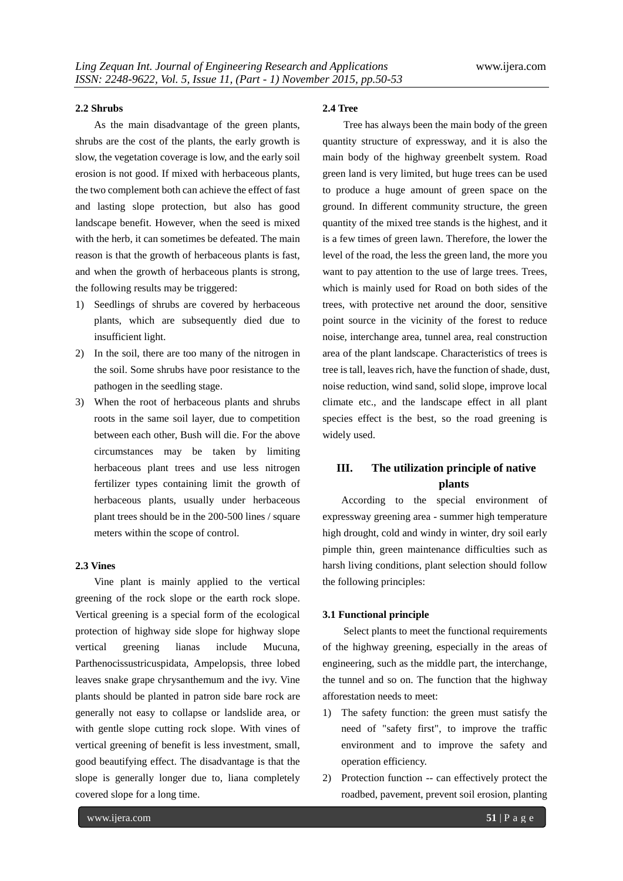# **2.2 Shrubs**

As the main disadvantage of the green plants, shrubs are the cost of the plants, the early growth is slow, the vegetation coverage is low, and the early soil erosion is not good. If mixed with herbaceous plants, the two complement both can achieve the effect of fast and lasting slope protection, but also has good landscape benefit. However, when the seed is mixed with the herb, it can sometimes be defeated. The main reason is that the growth of herbaceous plants is fast, and when the growth of herbaceous plants is strong, the following results may be triggered:

- 1) Seedlings of shrubs are covered by herbaceous plants, which are subsequently died due to insufficient light.
- 2) In the soil, there are too many of the nitrogen in the soil. Some shrubs have poor resistance to the pathogen in the seedling stage.
- 3) When the root of herbaceous plants and shrubs roots in the same soil layer, due to competition between each other, Bush will die. For the above circumstances may be taken by limiting herbaceous plant trees and use less nitrogen fertilizer types containing limit the growth of herbaceous plants, usually under herbaceous plant trees should be in the 200-500 lines / square meters within the scope of control.

# **2.3 Vines**

Vine plant is mainly applied to the vertical greening of the rock slope or the earth rock slope. Vertical greening is a special form of the ecological protection of highway side slope for highway slope vertical greening lianas include Mucuna, Parthenocissustricuspidata, Ampelopsis, three lobed leaves snake grape chrysanthemum and the ivy. Vine plants should be planted in patron side bare rock are generally not easy to collapse or landslide area, or with gentle slope cutting rock slope. With vines of vertical greening of benefit is less investment, small, good beautifying effect. The disadvantage is that the slope is generally longer due to, liana completely covered slope for a long time.

# **2.4 Tree**

Tree has always been the main body of the green quantity structure of expressway, and it is also the main body of the highway greenbelt system. Road green land is very limited, but huge trees can be used to produce a huge amount of green space on the ground. In different community structure, the green quantity of the mixed tree stands is the highest, and it is a few times of green lawn. Therefore, the lower the level of the road, the less the green land, the more you want to pay attention to the use of large trees. Trees, which is mainly used for Road on both sides of the trees, with protective net around the door, sensitive point source in the vicinity of the forest to reduce noise, interchange area, tunnel area, real construction area of the plant landscape. Characteristics of trees is tree is tall, leaves rich, have the function of shade, dust, noise reduction, wind sand, solid slope, improve local climate etc., and the landscape effect in all plant species effect is the best, so the road greening is widely used.

# **III. The utilization principle of native plants**

According to the special environment of expressway greening area - summer high temperature high drought, cold and windy in winter, dry soil early pimple thin, green maintenance difficulties such as harsh living conditions, plant selection should follow the following principles:

# **3.1 Functional principle**

Select plants to meet the functional requirements of the highway greening, especially in the areas of engineering, such as the middle part, the interchange, the tunnel and so on. The function that the highway afforestation needs to meet:

- 1) The safety function: the green must satisfy the need of "safety first", to improve the traffic environment and to improve the safety and operation efficiency.
- 2) Protection function -- can effectively protect the roadbed, pavement, prevent soil erosion, planting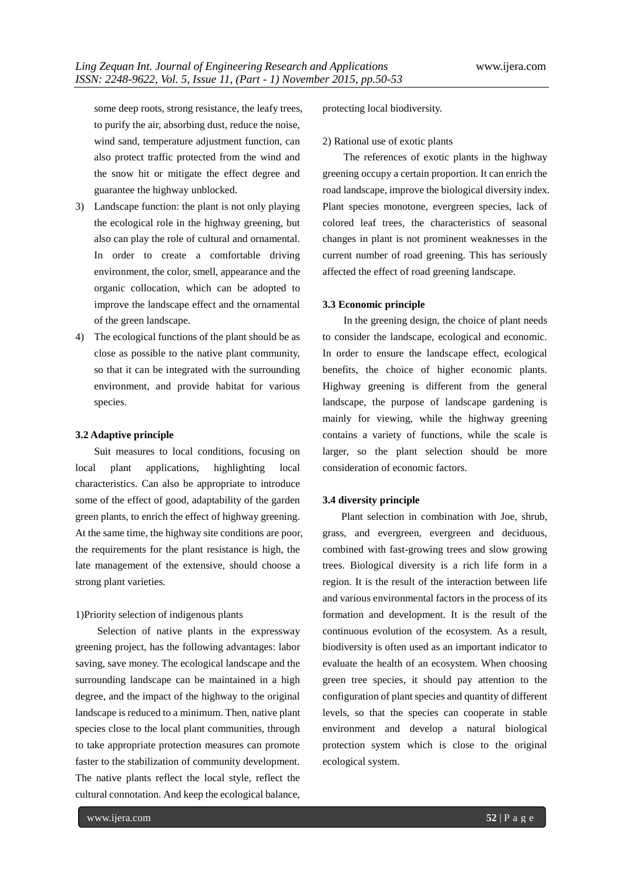some deep roots, strong resistance, the leafy trees, to purify the air, absorbing dust, reduce the noise, wind sand, temperature adjustment function, can also protect traffic protected from the wind and the snow hit or mitigate the effect degree and guarantee the highway unblocked.

- 3) Landscape function: the plant is not only playing the ecological role in the highway greening, but also can play the role of cultural and ornamental. In order to create a comfortable driving environment, the color, smell, appearance and the organic collocation, which can be adopted to improve the landscape effect and the ornamental of the green landscape.
- 4) The ecological functions of the plant should be as close as possible to the native plant community, so that it can be integrated with the surrounding environment, and provide habitat for various species.

### **3.2 Adaptive principle**

Suit measures to local conditions, focusing on local plant applications, highlighting local characteristics. Can also be appropriate to introduce some of the effect of good, adaptability of the garden green plants, to enrich the effect of highway greening. At the same time, the highway site conditions are poor, the requirements for the plant resistance is high, the late management of the extensive, should choose a strong plant varieties.

# 1)Priority selection of indigenous plants

Selection of native plants in the expressway greening project, has the following advantages: labor saving, save money. The ecological landscape and the surrounding landscape can be maintained in a high degree, and the impact of the highway to the original landscape is reduced to a minimum. Then, native plant species close to the local plant communities, through to take appropriate protection measures can promote faster to the stabilization of community development. The native plants reflect the local style, reflect the cultural connotation. And keep the ecological balance,

protecting local biodiversity.

#### 2) Rational use of exotic plants

The references of exotic plants in the highway greening occupy a certain proportion. It can enrich the road landscape, improve the biological diversity index. Plant species monotone, evergreen species, lack of colored leaf trees, the characteristics of seasonal changes in plant is not prominent weaknesses in the current number of road greening. This has seriously affected the effect of road greening landscape.

#### **3.3 Economic principle**

In the greening design, the choice of plant needs to consider the landscape, ecological and economic. In order to ensure the landscape effect, ecological benefits, the choice of higher economic plants. Highway greening is different from the general landscape, the purpose of landscape gardening is mainly for viewing, while the highway greening contains a variety of functions, while the scale is larger, so the plant selection should be more consideration of economic factors.

# **3.4 diversity principle**

Plant selection in combination with Joe, shrub, grass, and evergreen, evergreen and deciduous, combined with fast-growing trees and slow growing trees. Biological diversity is a rich life form in a region. It is the result of the interaction between life and various environmental factors in the process of its formation and development. It is the result of the continuous evolution of the ecosystem. As a result, biodiversity is often used as an important indicator to evaluate the health of an ecosystem. When choosing green tree species, it should pay attention to the configuration of plant species and quantity of different levels, so that the species can cooperate in stable environment and develop a natural biological protection system which is close to the original ecological system.